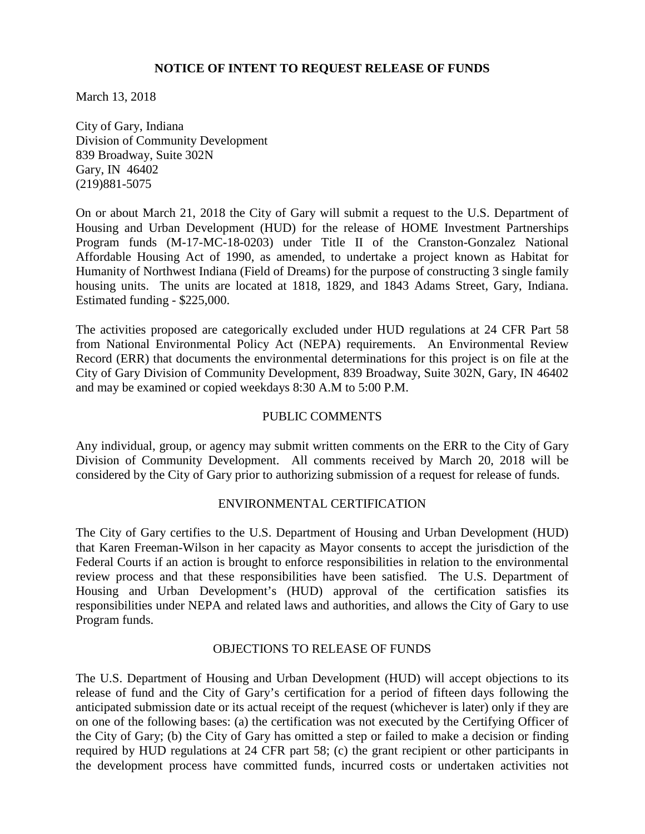## **NOTICE OF INTENT TO REQUEST RELEASE OF FUNDS**

March 13, 2018

City of Gary, Indiana Division of Community Development 839 Broadway, Suite 302N Gary, IN 46402 (219)881-5075

On or about March 21, 2018 the City of Gary will submit a request to the U.S. Department of Housing and Urban Development (HUD) for the release of HOME Investment Partnerships Program funds (M-17-MC-18-0203) under Title II of the Cranston-Gonzalez National Affordable Housing Act of 1990, as amended, to undertake a project known as Habitat for Humanity of Northwest Indiana (Field of Dreams) for the purpose of constructing 3 single family housing units. The units are located at 1818, 1829, and 1843 Adams Street, Gary, Indiana. Estimated funding - \$225,000.

The activities proposed are categorically excluded under HUD regulations at 24 CFR Part 58 from National Environmental Policy Act (NEPA) requirements. An Environmental Review Record (ERR) that documents the environmental determinations for this project is on file at the City of Gary Division of Community Development, 839 Broadway, Suite 302N, Gary, IN 46402 and may be examined or copied weekdays 8:30 A.M to 5:00 P.M.

## PUBLIC COMMENTS

Any individual, group, or agency may submit written comments on the ERR to the City of Gary Division of Community Development.All comments received by March 20, 2018 will be considered by the City of Gary prior to authorizing submission of a request for release of funds.

## ENVIRONMENTAL CERTIFICATION

The City of Gary certifies to the U.S. Department of Housing and Urban Development (HUD) that Karen Freeman-Wilson in her capacity as Mayor consents to accept the jurisdiction of the Federal Courts if an action is brought to enforce responsibilities in relation to the environmental review process and that these responsibilities have been satisfied. The U.S. Department of Housing and Urban Development's (HUD) approval of the certification satisfies its responsibilities under NEPA and related laws and authorities, and allows the City of Gary to use Program funds.

## OBJECTIONS TO RELEASE OF FUNDS

The U.S. Department of Housing and Urban Development (HUD) will accept objections to its release of fund and the City of Gary's certification for a period of fifteen days following the anticipated submission date or its actual receipt of the request (whichever is later) only if they are on one of the following bases: (a) the certification was not executed by the Certifying Officer of the City of Gary; (b) the City of Gary has omitted a step or failed to make a decision or finding required by HUD regulations at 24 CFR part 58; (c) the grant recipient or other participants in the development process have committed funds, incurred costs or undertaken activities not